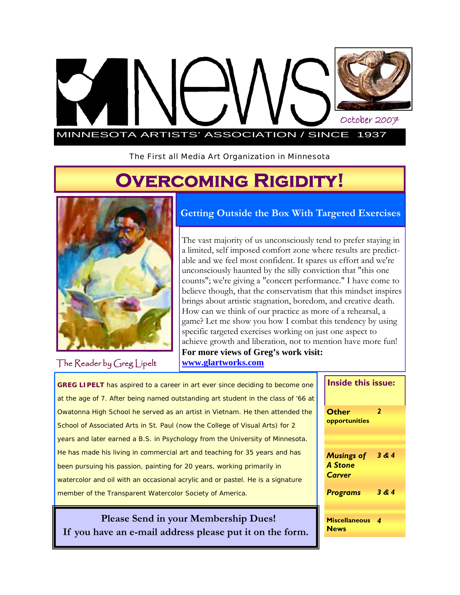# MINNESOTA ARTISTS' ASSOCIATION / SINCE 1937 October 2007

The First all Media Art Organization in Minnesota

# **Overcoming Rigidity!**



**Getting Outside the Box With Targeted Exercises** 

The vast majority of us unconsciously tend to prefer staying in a limited, self imposed comfort zone where results are predictable and we feel most confident. It spares us effort and we're unconsciously haunted by the silly conviction that "this one counts"; we're giving a "concert performance." I have come to believe though, that the conservatism that this mindset inspires brings about artistic stagnation, boredom, and creative death. How can we think of our practice as more of a rehearsal, a game? Let me show you how I combat this tendency by using specific targeted exercises working on just one aspect to achieve growth and liberation, not to mention have more fun! **For more views of Greg's work visit: www.glartworks.com**

The Reader by Greg Lipelt

**GREG LIPELT** has aspired to a career in art ever since deciding to become one at the age of 7. After being named outstanding art student in the class of '66 at Owatonna High School he served as an artist in Vietnam. He then attended the School of Associated Arts in St. Paul (now the College of Visual Arts) for 2 years and later earned a B.S. in Psychology from the University of Minnesota. He has made his living in commercial art and teaching for 35 years and has been pursuing his passion, painting for 20 years, working primarily in watercolor and oil with an occasional acrylic and or pastel. He is a signature member of the Transparent Watercolor Society of America.

 **Please Send in your Membership Dues! If you have an e-mail address please put it on the form.** 

|  | <b>Inside this issue:</b>                            |       |  |
|--|------------------------------------------------------|-------|--|
|  | Other<br>opportunities                               | 2     |  |
|  | <b>Musings of</b><br><b>A</b> Stone<br><b>Carver</b> | 3 & 4 |  |
|  | <b>Programs</b>                                      | 3 & 4 |  |
|  | <b>Miscellaneous</b><br><b>News</b>                  | 4     |  |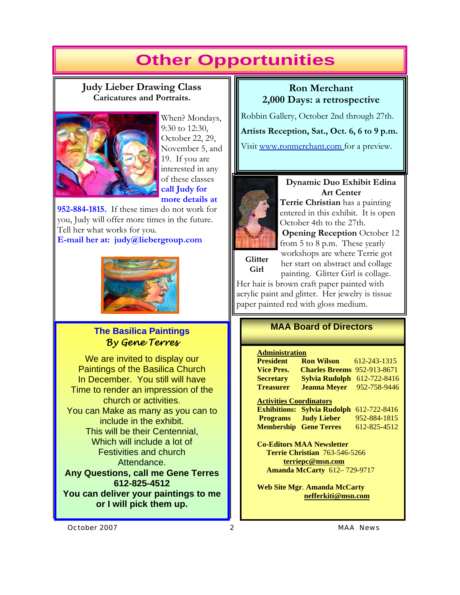## **Other Opportunities**

#### **Judy Lieber Drawing Class Caricatures and Portraits.**



When? Mondays, 9:30 to 12:30, October 22, 29, November 5, and 19. If you are interested in any of these classes **call Judy for more details at** 

**952-884-1815.** If these times do not work for you, Judy will offer more times in the future. Tell her what works for you. **E-mail her at: judy@liebergroup.com** 



#### **The Basilica Paintings**  *By Gene Terres*

We are invited to display our Paintings of the Basilica Church In December. You still will have Time to render an impression of the church or activities. You can Make as many as you can to include in the exhibit. This will be their Centennial, Which will include a lot of Festivities and church Attendance. **Any Questions, call me Gene Terres 612-825-4512 You can deliver your paintings to me** 

**or I will pick them up.** 

#### **Ron Merchant 2,000 Days: a retrospective**

Robbin Gallery, October 2nd through 27th.

**Artists Reception, Sat., Oct. 6, 6 to 9 p.m.** 

Visit www.ronmerchant.com for a preview.



**Glitter Girl**

#### **Dynamic Duo Exhibit Edina Art Center**

**Terrie Christian** has a painting entered in this exhibit. It is open October 4th to the 27th.

**Opening Reception** October 12 from 5 to 8 p.m. These yearly workshops are where Terrie got her start on abstract and collage painting. Glitter Girl is collage.

Her hair is brown craft paper painted with acrylic paint and glitter. Her jewelry is tissue paper painted red with gloss medium.

#### **MAA Board of Directors**

#### **Administration**

| <b>President</b>                     | <b>Ron Wilson</b>                  | 612-243-1315 |  |  |  |
|--------------------------------------|------------------------------------|--------------|--|--|--|
| <b>Vice Pres.</b>                    | <b>Charles Breems</b>              | 952-913-8671 |  |  |  |
| <b>Secretary</b>                     | Sylvia Rudolph                     | 612-722-8416 |  |  |  |
| <b>Treasurer</b>                     | <b>Jeanna Mever</b>                | 952-758-9446 |  |  |  |
| <b>Activities Coordinators</b>       |                                    |              |  |  |  |
|                                      | <b>Exhibitions: Sylvia Rudolph</b> | 612-722-8416 |  |  |  |
|                                      | <b>Programs</b> Judy Lieber        | 952-884-1815 |  |  |  |
|                                      | <b>Membership Gene Terres</b>      | 612-825-4512 |  |  |  |
| <b>Co-Editors MAA Newsletter</b>     |                                    |              |  |  |  |
| <b>Terrie Christian 763-546-5266</b> |                                    |              |  |  |  |
| terriepc@msn.com                     |                                    |              |  |  |  |
| <b>Amanda McCarty 612–729-9717</b>   |                                    |              |  |  |  |
|                                      |                                    |              |  |  |  |

**Web Site Mgr**. **Amanda McCarty nefferkiti@msn.com** 

*October 2007 2 MAA News*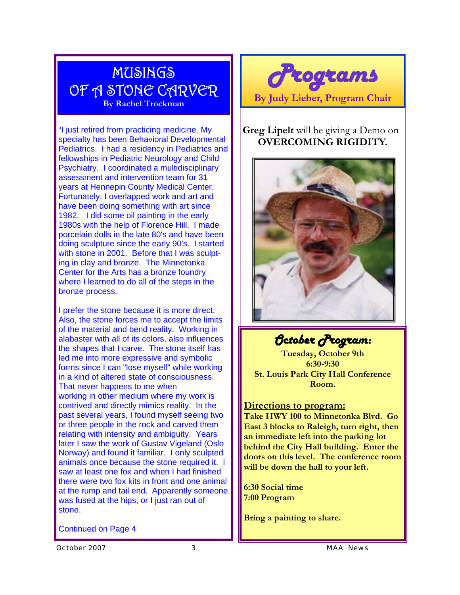### MUSINGS OF A STONE CARVER **By Rachel Trockman**

"I just retired from practicing medicine. My specialty has been Behavioral Developmental Pediatrics. I had a residency in Pediatrics and fellowships in Pediatric Neurology and Child Psychiatry. I coordinated a multidisciplinary assessment and intervention team for 31 years at Hennepin County Medical Center. Fortunately, I overlapped work and art and have been doing something with art since 1982. I did some oil painting in the early 1980s with the help of Florence Hill. I made porcelain dolls in the late 80's and have been doing sculpture since the early 90's. I started with stone in 2001. Before that I was sculpting in clay and bronze. The Minnetonka Center for the Arts has a bronze foundry where I learned to do all of the steps in the bronze process.

I prefer the stone because it is more direct. Also, the stone forces me to accept the limits of the material and bend reality. Working in alabaster with all of its colors, also influences the shapes that I carve. The stone itself has led me into more expressive and symbolic forms since I can "lose myself" while working in a kind of altered state of consciousness. That never happens to me when working in other medium where my work is contrived and directly mimics reality. In the past several years, I found myself seeing two or three people in the rock and carved them relating with intensity and ambiguity. Years later I saw the work of Gustav Vigeland (Oslo Norway) and found it familiar. I only sculpted animals once because the stone required it. I saw at least one fox and when I had finished there were two fox kits in front and one animal at the rump and tail end. Apparently someone was fused at the hips; or I just ran out of stone.

Continued on Page 4



#### **Greg Lipelt** will be giving a Demo on **OVERCOMING RIGIDITY.**



*October Program:* 

**Tuesday, October 9th 6:30-9:30 St. Louis Park City Hall Conference Room.** 

#### **Directions to program:**

**Take HWY 100 to Minnetonka Blvd. Go East 3 blocks to Raleigh, turn right, then an immediate left into the parking lot behind the City Hall building. Enter the doors on this level. The conference room will be down the hall to your left.** 

**6:30 Social time 7:00 Program** 

**Bring a painting to share.** 

*October 2007 3 MAA News*